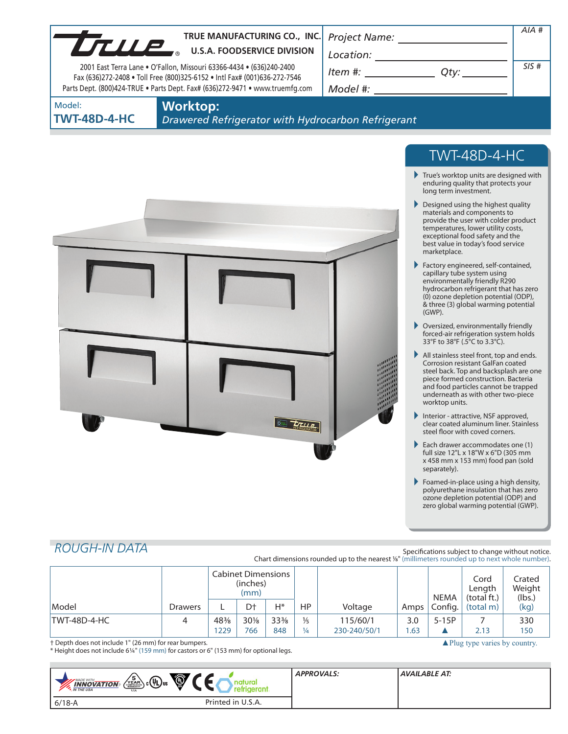| $\begin{picture}(150,10) \put(0,0){\vector(1,0){100}} \put(15,0){\vector(1,0){100}} \put(15,0){\vector(1,0){100}} \put(15,0){\vector(1,0){100}} \put(15,0){\vector(1,0){100}} \put(15,0){\vector(1,0){100}} \put(15,0){\vector(1,0){100}} \put(15,0){\vector(1,0){100}} \put(15,0){\vector(1,0){100}} \put(15,0){\vector(1,0){100}} \put(15,0){\vector(1,0){100}}$<br>$Item #:$ Qty:<br>2001 East Terra Lane . O'Fallon, Missouri 63366-4434 . (636)240-2400<br>Fax (636)272-2408 . Toll Free (800)325-6152 . Intl Fax# (001)636-272-7546<br>Model #: ___________________________<br>Parts Dept. (800)424-TRUE . Parts Dept. Fax# (636)272-9471 . www.truemfg.com<br><b>Worktop:</b><br>Drawered Refrigerator with Hydrocarbon Refrigerant<br><b>TWT-48D-4-HC</b><br>$\blacktriangleright$ True's worktop units are designed with<br>enduring quality that protects your<br>long term investment.<br>Designed using the highest quality<br>materials and components to<br>provide the user with colder product<br>temperatures, lower utility costs,<br>exceptional food safety and the<br>best value in today's food service<br>marketplace.<br>$\blacktriangleright$ Factory engineered, self-contained,<br>capillary tube system using<br>environmentally friendly R290<br>hydrocarbon refrigerant that has zero<br>(0) ozone depletion potential (ODP),<br>& three (3) global warming potential<br>(GWP).<br>▶ Oversized, environmentally friendly<br>forced-air refrigeration system holds<br>33°F to 38°F (.5°C to 3.3°C).<br>All stainless steel front, top and ends.<br><b>Corrosion resistant GalFan coated</b><br>steel back. Top and backsplash are one<br>piece formed construction. Bacteria<br>and food particles cannot be trapped<br>underneath as with other two-piece<br>worktop units.<br>Interior - attractive, NSF approved,<br>clear coated aluminum liner. Stainless<br>steel floor with coved corners.<br>Each drawer accommodates one (1)<br>full size 12"L x 18"W x 6"D (305 mm<br>x 458 mm x 153 mm) food pan (sold<br>separately).<br>$\blacktriangleright$ Foamed-in-place using a high density,<br>polyurethane insulation that has zero<br>ozone depletion potential (ODP) and<br>zero global warming potential (GWP). |                               | TRUE MANUFACTURING CO., INC<br>TRUE MANUFACTURING CO., INC. |  | AIA # |
|-------------------------------------------------------------------------------------------------------------------------------------------------------------------------------------------------------------------------------------------------------------------------------------------------------------------------------------------------------------------------------------------------------------------------------------------------------------------------------------------------------------------------------------------------------------------------------------------------------------------------------------------------------------------------------------------------------------------------------------------------------------------------------------------------------------------------------------------------------------------------------------------------------------------------------------------------------------------------------------------------------------------------------------------------------------------------------------------------------------------------------------------------------------------------------------------------------------------------------------------------------------------------------------------------------------------------------------------------------------------------------------------------------------------------------------------------------------------------------------------------------------------------------------------------------------------------------------------------------------------------------------------------------------------------------------------------------------------------------------------------------------------------------------------------------------------------------------------------------------------------------------------------------------------------------------------------------------------------------------------------------------------------------------------------------------------------------------------------------------------------------------------------------------------------------------------------------------------------------------------------------|-------------------------------|-------------------------------------------------------------|--|-------|
|                                                                                                                                                                                                                                                                                                                                                                                                                                                                                                                                                                                                                                                                                                                                                                                                                                                                                                                                                                                                                                                                                                                                                                                                                                                                                                                                                                                                                                                                                                                                                                                                                                                                                                                                                                                                                                                                                                                                                                                                                                                                                                                                                                                                                                                       |                               |                                                             |  | SIS#  |
|                                                                                                                                                                                                                                                                                                                                                                                                                                                                                                                                                                                                                                                                                                                                                                                                                                                                                                                                                                                                                                                                                                                                                                                                                                                                                                                                                                                                                                                                                                                                                                                                                                                                                                                                                                                                                                                                                                                                                                                                                                                                                                                                                                                                                                                       | Model:<br><b>TWT-48D-4-HC</b> |                                                             |  |       |
|                                                                                                                                                                                                                                                                                                                                                                                                                                                                                                                                                                                                                                                                                                                                                                                                                                                                                                                                                                                                                                                                                                                                                                                                                                                                                                                                                                                                                                                                                                                                                                                                                                                                                                                                                                                                                                                                                                                                                                                                                                                                                                                                                                                                                                                       |                               |                                                             |  |       |
|                                                                                                                                                                                                                                                                                                                                                                                                                                                                                                                                                                                                                                                                                                                                                                                                                                                                                                                                                                                                                                                                                                                                                                                                                                                                                                                                                                                                                                                                                                                                                                                                                                                                                                                                                                                                                                                                                                                                                                                                                                                                                                                                                                                                                                                       |                               |                                                             |  |       |
|                                                                                                                                                                                                                                                                                                                                                                                                                                                                                                                                                                                                                                                                                                                                                                                                                                                                                                                                                                                                                                                                                                                                                                                                                                                                                                                                                                                                                                                                                                                                                                                                                                                                                                                                                                                                                                                                                                                                                                                                                                                                                                                                                                                                                                                       |                               |                                                             |  |       |
|                                                                                                                                                                                                                                                                                                                                                                                                                                                                                                                                                                                                                                                                                                                                                                                                                                                                                                                                                                                                                                                                                                                                                                                                                                                                                                                                                                                                                                                                                                                                                                                                                                                                                                                                                                                                                                                                                                                                                                                                                                                                                                                                                                                                                                                       |                               |                                                             |  |       |
|                                                                                                                                                                                                                                                                                                                                                                                                                                                                                                                                                                                                                                                                                                                                                                                                                                                                                                                                                                                                                                                                                                                                                                                                                                                                                                                                                                                                                                                                                                                                                                                                                                                                                                                                                                                                                                                                                                                                                                                                                                                                                                                                                                                                                                                       |                               |                                                             |  |       |
|                                                                                                                                                                                                                                                                                                                                                                                                                                                                                                                                                                                                                                                                                                                                                                                                                                                                                                                                                                                                                                                                                                                                                                                                                                                                                                                                                                                                                                                                                                                                                                                                                                                                                                                                                                                                                                                                                                                                                                                                                                                                                                                                                                                                                                                       |                               |                                                             |  |       |
|                                                                                                                                                                                                                                                                                                                                                                                                                                                                                                                                                                                                                                                                                                                                                                                                                                                                                                                                                                                                                                                                                                                                                                                                                                                                                                                                                                                                                                                                                                                                                                                                                                                                                                                                                                                                                                                                                                                                                                                                                                                                                                                                                                                                                                                       |                               |                                                             |  |       |
|                                                                                                                                                                                                                                                                                                                                                                                                                                                                                                                                                                                                                                                                                                                                                                                                                                                                                                                                                                                                                                                                                                                                                                                                                                                                                                                                                                                                                                                                                                                                                                                                                                                                                                                                                                                                                                                                                                                                                                                                                                                                                                                                                                                                                                                       |                               |                                                             |  |       |
|                                                                                                                                                                                                                                                                                                                                                                                                                                                                                                                                                                                                                                                                                                                                                                                                                                                                                                                                                                                                                                                                                                                                                                                                                                                                                                                                                                                                                                                                                                                                                                                                                                                                                                                                                                                                                                                                                                                                                                                                                                                                                                                                                                                                                                                       |                               |                                                             |  |       |
| Specifications subject to change without notice.                                                                                                                                                                                                                                                                                                                                                                                                                                                                                                                                                                                                                                                                                                                                                                                                                                                                                                                                                                                                                                                                                                                                                                                                                                                                                                                                                                                                                                                                                                                                                                                                                                                                                                                                                                                                                                                                                                                                                                                                                                                                                                                                                                                                      | <b>ROUGH-IN DATA</b>          |                                                             |  |       |

|                                                       |                | <b>Cabinet Dimensions</b><br>(inches)<br>(mm) |        |                 |               |              |      | <b>NEMA</b>                                   | Cord<br>Length<br>(total ft.) | Crated<br>Weight<br>(lbs.) |
|-------------------------------------------------------|----------------|-----------------------------------------------|--------|-----------------|---------------|--------------|------|-----------------------------------------------|-------------------------------|----------------------------|
| Model                                                 | <b>Drawers</b> |                                               | D†     | Н*              | ΗP            | Voltage      | Amps | Config.                                       | (total m)                     | (kg)                       |
| TWT-48D-4-HC                                          |                | 48%                                           | $30\%$ | $33\frac{3}{8}$ | $\frac{1}{5}$ | 115/60/1     | 3.0  | $5-15P$                                       |                               | 330                        |
|                                                       |                | 1229                                          | 766    | 848             | $\frac{1}{4}$ | 230-240/50/1 | .63  |                                               | 2.13                          | 150                        |
| † Depth does not include 1" (26 mm) for rear bumpers. |                |                                               |        |                 |               |              |      | $\blacktriangle$ Plug type varies by country. |                               |                            |

**COL** 

\* Height does not include 61/4" (159 mm) for castors or 6" (153 mm) for optional legs.

| $\circledcirc$<br>$\sqrt{\frac{5}{\text{YEAR}}}$ $\text{C}$ UV US<br><b>MADE WITH_</b><br>$\lambda$ , <b>INNOVATION</b><br>and market the money of the control of the control of the control of the control of the control of the control to the control of the control of the control of the control of the control of the control of the control of the | <b>APPROVALS:</b> | AVAILABLE AT: |
|-----------------------------------------------------------------------------------------------------------------------------------------------------------------------------------------------------------------------------------------------------------------------------------------------------------------------------------------------------------|-------------------|---------------|
| Printed in U.S.A.<br>$6/18 - A$                                                                                                                                                                                                                                                                                                                           |                   |               |